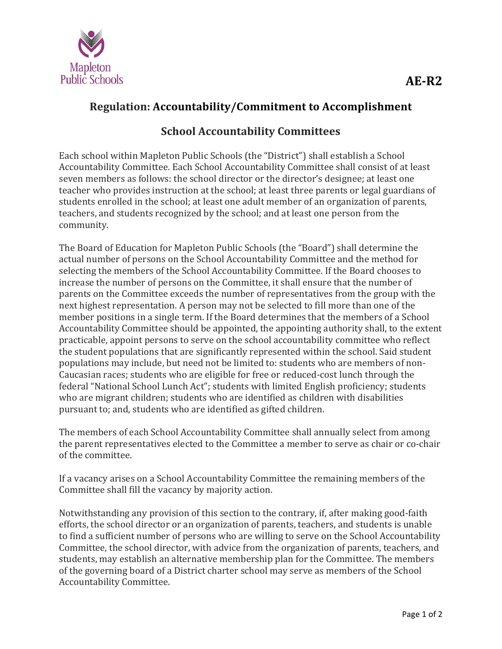

## **Regulation: Accountability/Commitment to Accomplishment**

## **School Accountability Committees**

Each school within Mapleton Public Schools (the "District") shall establish a School Accountability Committee. Each School Accountability Committee shall consist of at least seven members as follows: the school director or the director's designee; at least one teacher who provides instruction at the school; at least three parents or legal guardians of students enrolled in the school; at least one adult member of an organization of parents, teachers, and students recognized by the school; and at least one person from the community. 

The Board of Education for Mapleton Public Schools (the "Board") shall determine the actual number of persons on the School Accountability Committee and the method for selecting the members of the School Accountability Committee. If the Board chooses to increase the number of persons on the Committee, it shall ensure that the number of parents on the Committee exceeds the number of representatives from the group with the next highest representation. A person may not be selected to fill more than one of the member positions in a single term. If the Board determines that the members of a School Accountability Committee should be appointed, the appointing authority shall, to the extent practicable, appoint persons to serve on the school accountability committee who reflect the student populations that are significantly represented within the school. Said student populations may include, but need not be limited to: students who are members of non-Caucasian races; students who are eligible for free or reduced-cost lunch through the federal "National School Lunch Act"; students with limited English proficiency; students who are migrant children; students who are identified as children with disabilities pursuant to; and, students who are identified as gifted children.

The members of each School Accountability Committee shall annually select from among the parent representatives elected to the Committee a member to serve as chair or co-chair of the committee.

If a vacancy arises on a School Accountability Committee the remaining members of the Committee shall fill the vacancy by majority action.

Notwithstanding any provision of this section to the contrary, if, after making good-faith efforts, the school director or an organization of parents, teachers, and students is unable to find a sufficient number of persons who are willing to serve on the School Accountability Committee, the school director, with advice from the organization of parents, teachers, and students, may establish an alternative membership plan for the Committee. The members of the governing board of a District charter school may serve as members of the School Accountability Committee.